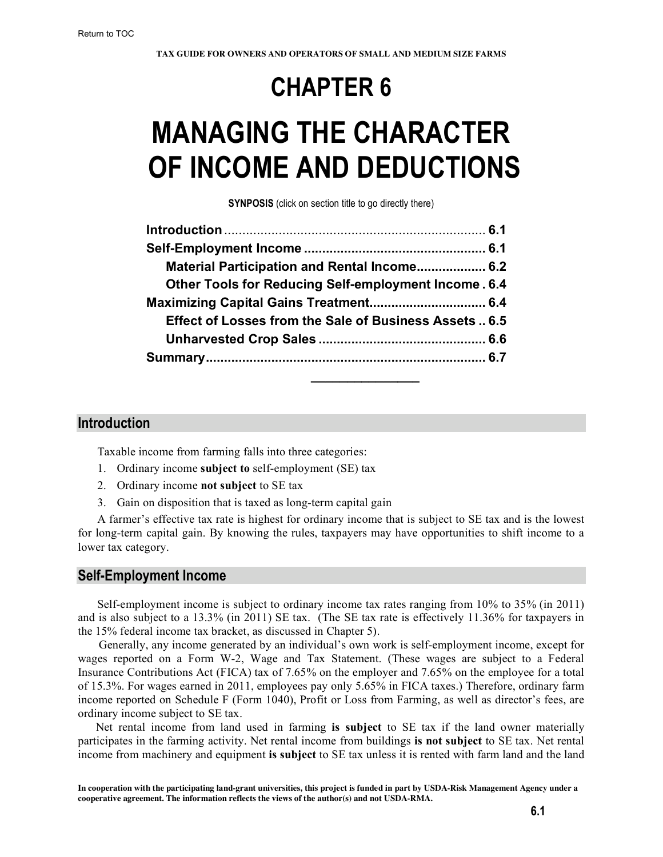# **CHAPTER 6**

# **MANAGING THE CHARACTER OF INCOME AND DEDUCTIONS**

**SYNPOSIS** (click on section title to go directly there)

| Material Participation and Rental Income 6.2                |  |
|-------------------------------------------------------------|--|
| <b>Other Tools for Reducing Self-employment Income. 6.4</b> |  |
|                                                             |  |
| Effect of Losses from the Sale of Business Assets  6.5      |  |
|                                                             |  |
|                                                             |  |
|                                                             |  |

## **Introduction**

Taxable income from farming falls into three categories:

- 1. Ordinary income **subject to** self-employment (SE) tax
- 2. Ordinary income **not subject** to SE tax
- 3. Gain on disposition that is taxed as long-term capital gain

A farmer's effective tax rate is highest for ordinary income that is subject to SE tax and is the lowest for long-term capital gain. By knowing the rules, taxpayers may have opportunities to shift income to a lower tax category.

## **Self-Employment Income**

Self-employment income is subject to ordinary income tax rates ranging from 10% to 35% (in 2011) and is also subject to a 13.3% (in 2011) SE tax. (The SE tax rate is effectively 11.36% for taxpayers in the 15% federal income tax bracket, as discussed in Chapter 5).

 Generally, any income generated by an individual's own work is self-employment income, except for wages reported on a Form W-2, Wage and Tax Statement. (These wages are subject to a Federal Insurance Contributions Act (FICA) tax of 7.65% on the employer and 7.65% on the employee for a total of 15.3%. For wages earned in 2011, employees pay only 5.65% in FICA taxes.) Therefore, ordinary farm income reported on Schedule F (Form 1040), Profit or Loss from Farming, as well as director's fees, are ordinary income subject to SE tax.

 Net rental income from land used in farming **is subject** to SE tax if the land owner materially participates in the farming activity. Net rental income from buildings **is not subject** to SE tax. Net rental income from machinery and equipment **is subject** to SE tax unless it is rented with farm land and the land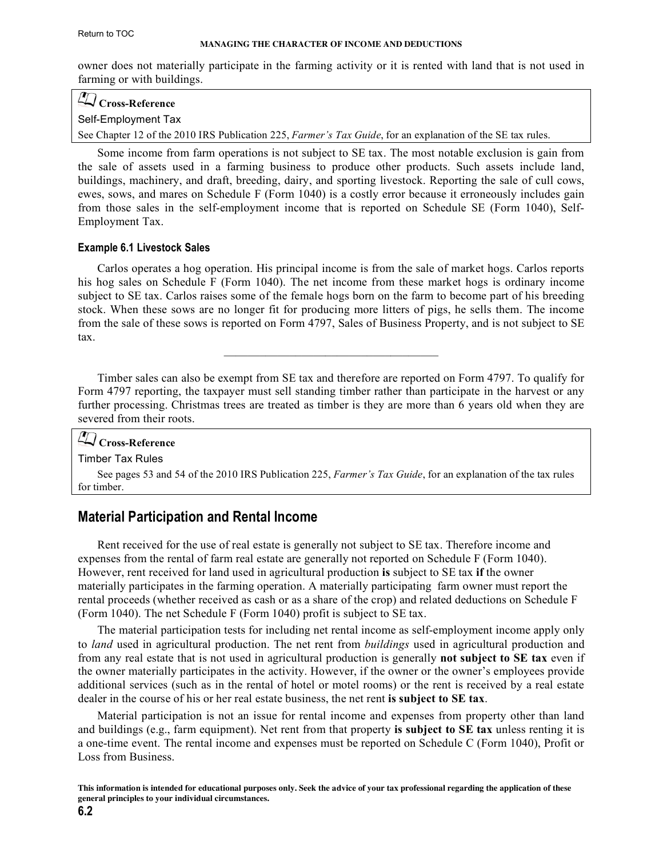<span id="page-1-0"></span>owner does not materially participate in the farming activity or it is rented with land that is not used in farming or with buildings.

## **Cross-Reference** Self-Employment Tax

[See Chapter 12 of the 2010 IRS Publication 225,](http://www.irs.gov/pub/irs-pdf/p225.pdf) *Farmer's Tax Guide*, for an explanation of the SE tax rules.

Some income from farm operations is not subject to SE tax. The most notable exclusion is gain from the sale of assets used in a farming business to produce other products. Such assets include land, buildings, machinery, and draft, breeding, dairy, and sporting livestock. Reporting the sale of cull cows, ewes, sows, and mares on Schedule F (Form 1040) is a costly error because it erroneously includes gain from those sales in the self-employment income that is reported on Schedule SE (Form 1040), Self-Employment Tax.

#### **Example 6.1 Livestock Sales**

Carlos operates a hog operation. His principal income is from the sale of market hogs. Carlos reports his hog sales on Schedule F (Form 1040). The net income from these market hogs is ordinary income subject to SE tax. Carlos raises some of the female hogs born on the farm to become part of his breeding stock. When these sows are no longer fit for producing more litters of pigs, he sells them. The income from the sale of these sows is reported on Form 4797, Sales of Business Property, and is not subject to SE tax.

 $\mathcal{L}_\text{max}$  and  $\mathcal{L}_\text{max}$  and  $\mathcal{L}_\text{max}$  and  $\mathcal{L}_\text{max}$ 

Timber sales can also be exempt from SE tax and therefore are reported on Form 4797. To qualify for Form 4797 reporting, the taxpayer must sell standing timber rather than participate in the harvest or any further processing. Christmas trees are treated as timber is they are more than 6 years old when they are severed from their roots.

## **Cross-Reference**

Timber Tax Rules

[See pages 53 and 54 of the 2010 IRS Publication 225,](http://www.irs.gov/pub/irs-pdf/p225.pdf) *Farmer's Tax Guide*, for an explanation of the tax rules for timber.

## **Material Participation and Rental Income**

Rent received for the use of real estate is generally not subject to SE tax. Therefore income and expenses from the rental of farm real estate are generally not reported on Schedule F (Form 1040). However, rent received for land used in agricultural production **is** subject to SE tax **if** the owner materially participates in the farming operation. A materially participating farm owner must report the rental proceeds (whether received as cash or as a share of the crop) and related deductions on Schedule F (Form 1040). The net Schedule F (Form 1040) profit is subject to SE tax.

The material participation tests for including net rental income as self-employment income apply only to *land* used in agricultural production. The net rent from *buildings* used in agricultural production and from any real estate that is not used in agricultural production is generally **not subject to SE tax** even if the owner materially participates in the activity. However, if the owner or the owner's employees provide additional services (such as in the rental of hotel or motel rooms) or the rent is received by a real estate dealer in the course of his or her real estate business, the net rent **is subject to SE tax**.

Material participation is not an issue for rental income and expenses from property other than land and buildings (e.g., farm equipment). Net rent from that property **is subject to SE tax** unless renting it is a one-time event. The rental income and expenses must be reported on Schedule C (Form 1040), Profit or Loss from Business.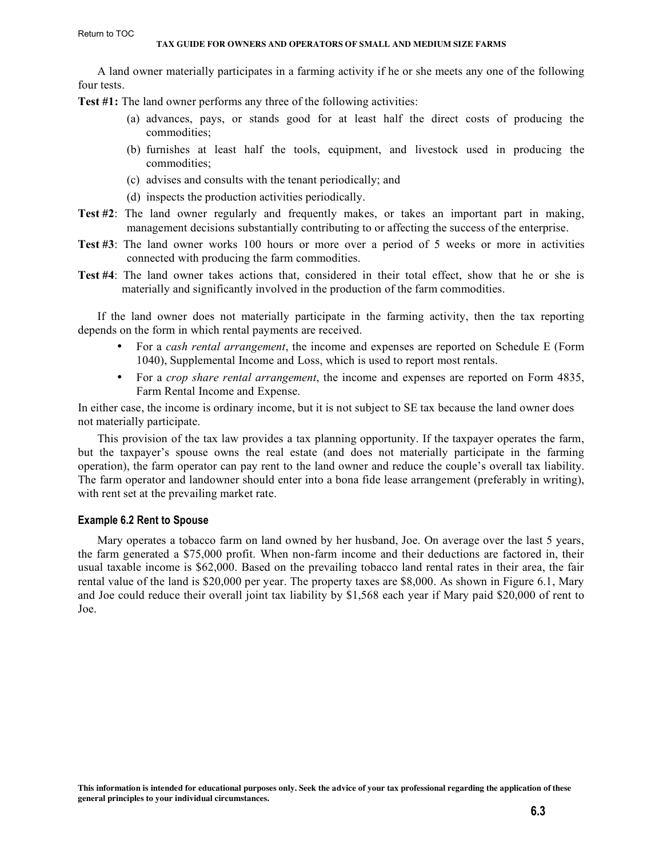A land owner materially participates in a farming activity if he or she meets any one of the following four tests.

**Test #1:** The land owner performs any three of the following activities:

- (a) advances, pays, or stands good for at least half the direct costs of producing the commodities;
- (b) furnishes at least half the tools, equipment, and livestock used in producing the commodities;
- (c) advises and consults with the tenant periodically; and
- (d) inspects the production activities periodically.
- **Test #2**: The land owner regularly and frequently makes, or takes an important part in making, management decisions substantially contributing to or affecting the success of the enterprise.
- **Test #3**: The land owner works 100 hours or more over a period of 5 weeks or more in activities connected with producing the farm commodities.
- **Test #4**: The land owner takes actions that, considered in their total effect, show that he or she is materially and significantly involved in the production of the farm commodities.

If the land owner does not materially participate in the farming activity, then the tax reporting depends on the form in which rental payments are received.

- For a *cash rental arrangement*, the income and expenses are reported on Schedule E (Form 1040), Supplemental Income and Loss, which is used to report most rentals.
- For a *crop share rental arrangement*, the income and expenses are reported on Form 4835, Farm Rental Income and Expense.

In either case, the income is ordinary income, but it is not subject to SE tax because the land owner does not materially participate.

This provision of the tax law provides a tax planning opportunity. If the taxpayer operates the farm, but the taxpayer's spouse owns the real estate (and does not materially participate in the farming operation), the farm operator can pay rent to the land owner and reduce the couple's overall tax liability. The farm operator and landowner should enter into a bona fide lease arrangement (preferably in writing), with rent set at the prevailing market rate.

#### **Example 6.2 Rent to Spouse**

Mary operates a tobacco farm on land owned by her husband, Joe. On average over the last 5 years, the farm generated a \$75,000 profit. When non-farm income and their deductions are factored in, their usual taxable income is \$62,000. Based on the prevailing tobacco land rental rates in their area, the fair rental value of the land is \$20,000 per year. The property taxes are \$8,000. As shown in Figure 6.1, Mary and Joe could reduce their overall joint tax liability by \$1,568 each year if Mary paid \$20,000 of rent to Joe.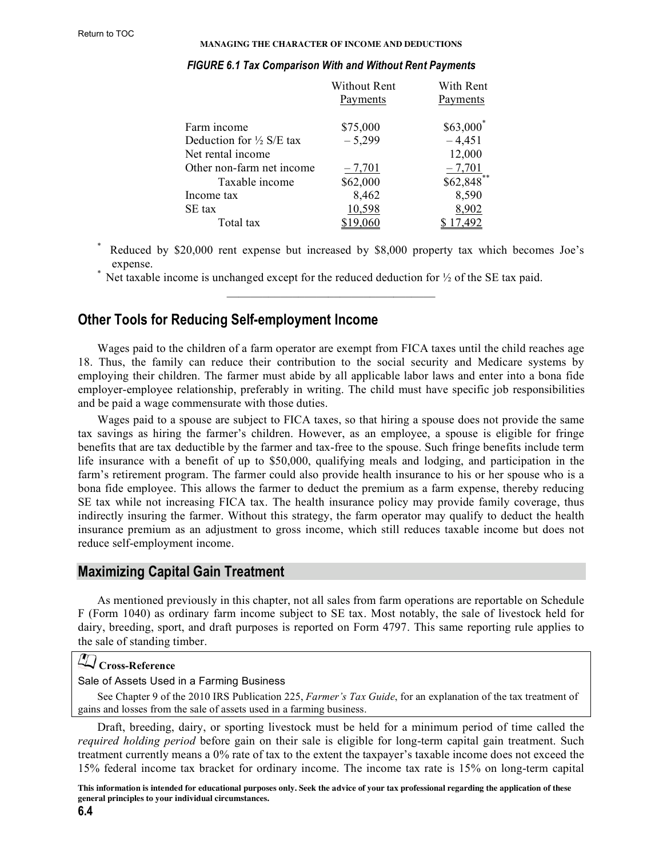#### **MANAGING THE CHARACTER OF INCOME AND DEDUCTIONS**

|                                     | Without Rent | With Rent                    |  |
|-------------------------------------|--------------|------------------------------|--|
|                                     | Payments     | Payments                     |  |
| Farm income                         | \$75,000     | \$63,000                     |  |
| Deduction for $\frac{1}{2}$ S/E tax | $-5,299$     | $-4,451$                     |  |
| Net rental income                   |              | 12,000                       |  |
| Other non-farm net income           | $-7,701$     |                              |  |
| Taxable income                      | \$62,000     | $\frac{-7,701}{\$62,848}$ ** |  |
| Income tax                          | 8,462        | 8,590                        |  |
| SE tax                              | 10,598       | 8,902                        |  |
| Total tax                           | 19.060       | 7.492                        |  |

#### <span id="page-3-0"></span>*FIGURE 6.1 Tax Comparison With and Without Rent Payments*

Reduced by \$20,000 rent expense but increased by \$8,000 property tax which becomes Joe's expense.

Net taxable income is unchanged except for the reduced deduction for  $\frac{1}{2}$  of the SE tax paid.

## **Other Tools for Reducing Self-employment Income**

Wages paid to the children of a farm operator are exempt from FICA taxes until the child reaches age 18. Thus, the family can reduce their contribution to the social security and Medicare systems by employing their children. The farmer must abide by all applicable labor laws and enter into a bona fide employer-employee relationship, preferably in writing. The child must have specific job responsibilities and be paid a wage commensurate with those duties.

Wages paid to a spouse are subject to FICA taxes, so that hiring a spouse does not provide the same tax savings as hiring the farmer's children. However, as an employee, a spouse is eligible for fringe benefits that are tax deductible by the farmer and tax-free to the spouse. Such fringe benefits include term life insurance with a benefit of up to \$50,000, qualifying meals and lodging, and participation in the farm's retirement program. The farmer could also provide health insurance to his or her spouse who is a bona fide employee. This allows the farmer to deduct the premium as a farm expense, thereby reducing SE tax while not increasing FICA tax. The health insurance policy may provide family coverage, thus indirectly insuring the farmer. Without this strategy, the farm operator may qualify to deduct the health insurance premium as an adjustment to gross income, which still reduces taxable income but does not reduce self-employment income.

## **Maximizing Capital Gain Treatment**

As mentioned previously in this chapter, not all sales from farm operations are reportable on Schedule F (Form 1040) as ordinary farm income subject to SE tax. Most notably, the sale of livestock held for dairy, breeding, sport, and draft purposes is reported on Form 4797. This same reporting rule applies to the sale of standing timber.

## **Cross-Reference**

## Sale of Assets Used in a Farming Business

See Chapter 9 of the 2010 IRS Publication 225, *Farmer's Tax Guide*, for an explanation of the tax treatment of [gains and losses from the sale of assets used in a farming business.](http://www.irs.gov/pub/irs-pdf/p225.pdf)

Draft, breeding, dairy, or sporting livestock must be held for a minimum period of time called the *required holding period* before gain on their sale is eligible for long-term capital gain treatment. Such treatment currently means a 0% rate of tax to the extent the taxpayer's taxable income does not exceed the 15% federal income tax bracket for ordinary income. The income tax rate is 15% on long-term capital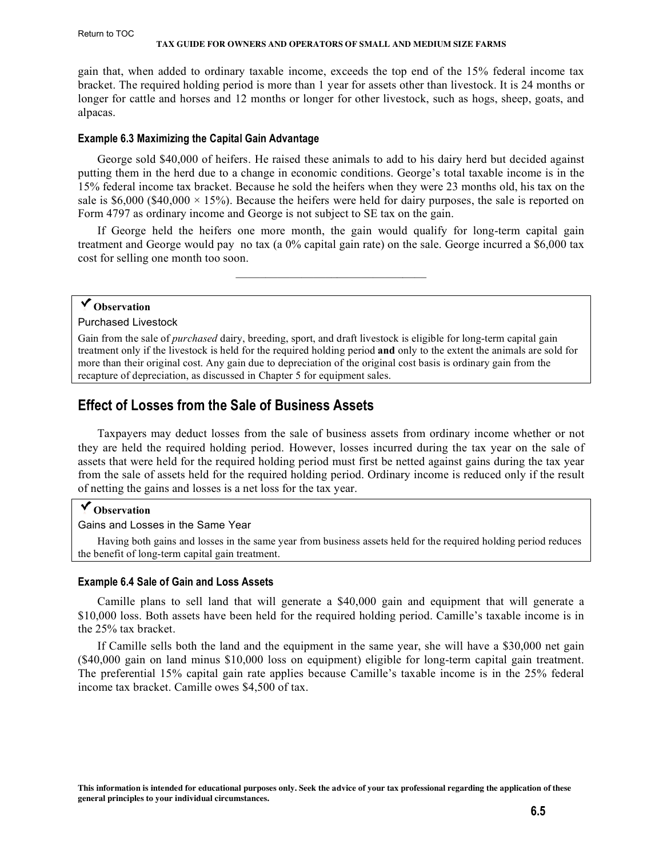#### **TAX GUIDE FOR OWNERS AND OPERATORS OF SMALL AND MEDIUM SIZE FARMS**

<span id="page-4-0"></span>gain that, when added to ordinary taxable income, exceeds the top end of the 15% federal income tax bracket. The required holding period is more than 1 year for assets other than livestock. It is 24 months or longer for cattle and horses and 12 months or longer for other livestock, such as hogs, sheep, goats, and alpacas.

#### **Example 6.3 Maximizing the Capital Gain Advantage**

George sold \$40,000 of heifers. He raised these animals to add to his dairy herd but decided against putting them in the herd due to a change in economic conditions. George's total taxable income is in the 15% federal income tax bracket. Because he sold the heifers when they were 23 months old, his tax on the sale is  $$6,000$  ( $$40,000 \times 15\%$ ). Because the heifers were held for dairy purposes, the sale is reported on Form 4797 as ordinary income and George is not subject to SE tax on the gain.

If George held the heifers one more month, the gain would qualify for long-term capital gain treatment and George would pay no tax (a 0% capital gain rate) on the sale. George incurred a \$6,000 tax cost for selling one month too soon.

 $\mathcal{L}_\text{max} = \mathcal{L}_\text{max}$  , where  $\mathcal{L}_\text{max} = \mathcal{L}_\text{max}$ 

## **Observation**

Purchased Livestock

Gain from the sale of *purchased* dairy, breeding, sport, and draft livestock is eligible for long-term capital gain treatment only if the livestock is held for the required holding period **and** only to the extent the animals are sold for more than their original cost. Any gain due to depreciation of the original cost basis is ordinary gain from the recapture of depreciation, as discussed in Chapter 5 for equipment sales.

## **Effect of Losses from the Sale of Business Assets**

Taxpayers may deduct losses from the sale of business assets from ordinary income whether or not they are held the required holding period. However, losses incurred during the tax year on the sale of assets that were held for the required holding period must first be netted against gains during the tax year from the sale of assets held for the required holding period. Ordinary income is reduced only if the result of netting the gains and losses is a net loss for the tax year.

## **Observation**

#### Gains and Losses in the Same Year

Having both gains and losses in the same year from business assets held for the required holding period reduces the benefit of long-term capital gain treatment.

#### **Example 6.4 Sale of Gain and Loss Assets**

Camille plans to sell land that will generate a \$40,000 gain and equipment that will generate a \$10,000 loss. Both assets have been held for the required holding period. Camille's taxable income is in the 25% tax bracket.

If Camille sells both the land and the equipment in the same year, she will have a \$30,000 net gain (\$40,000 gain on land minus \$10,000 loss on equipment) eligible for long-term capital gain treatment. The preferential 15% capital gain rate applies because Camille's taxable income is in the 25% federal income tax bracket. Camille owes \$4,500 of tax.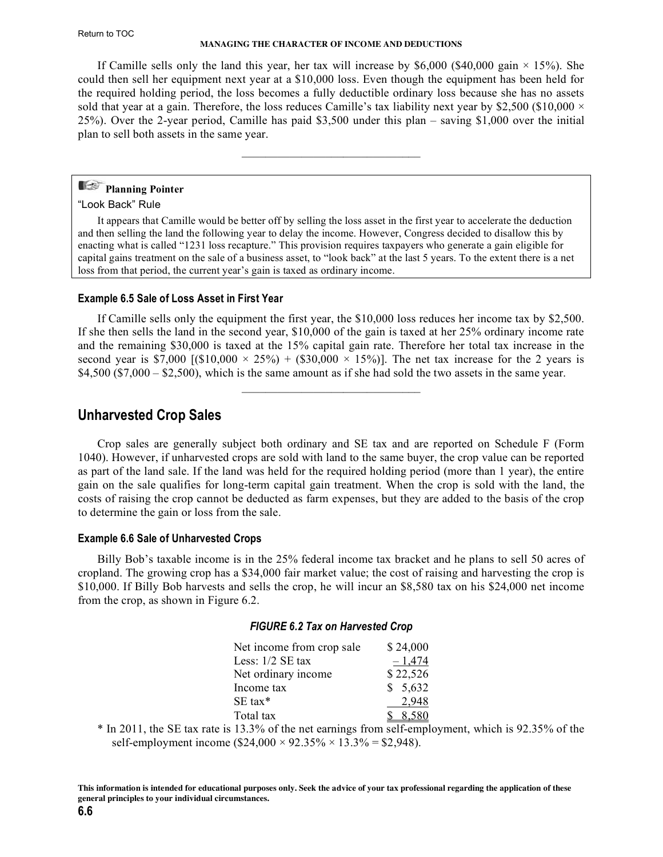<span id="page-5-0"></span>If Camille sells only the land this year, her tax will increase by \$6,000 (\$40,000 gain  $\times$  15%). She could then sell her equipment next year at a \$10,000 loss. Even though the equipment has been held for the required holding period, the loss becomes a fully deductible ordinary loss because she has no assets sold that year at a gain. Therefore, the loss reduces Camille's tax liability next year by \$2,500 (\$10,000  $\times$ 25%). Over the 2-year period, Camille has paid \$3,500 under this plan – saving \$1,000 over the initial plan to sell both assets in the same year.

 $\mathcal{L}=\mathcal{L}=\mathcal{L}=\mathcal{L}=\mathcal{L}=\mathcal{L}=\mathcal{L}=\mathcal{L}=\mathcal{L}=\mathcal{L}=\mathcal{L}=\mathcal{L}=\mathcal{L}=\mathcal{L}=\mathcal{L}=\mathcal{L}=\mathcal{L}=\mathcal{L}=\mathcal{L}=\mathcal{L}=\mathcal{L}=\mathcal{L}=\mathcal{L}=\mathcal{L}=\mathcal{L}=\mathcal{L}=\mathcal{L}=\mathcal{L}=\mathcal{L}=\mathcal{L}=\mathcal{L}=\mathcal{L}=\mathcal{L}=\mathcal{L}=\mathcal{L}=\mathcal{L}=\mathcal{$ 

## **Planning Pointer**

#### "Look Back" Rule

It appears that Camille would be better off by selling the loss asset in the first year to accelerate the deduction and then selling the land the following year to delay the income. However, Congress decided to disallow this by enacting what is called "1231 loss recapture." This provision requires taxpayers who generate a gain eligible for capital gains treatment on the sale of a business asset, to "look back" at the last 5 years. To the extent there is a net loss from that period, the current year's gain is taxed as ordinary income.

## **Example 6.5 Sale of Loss Asset in First Year**

If Camille sells only the equipment the first year, the \$10,000 loss reduces her income tax by \$2,500. If she then sells the land in the second year, \$10,000 of the gain is taxed at her 25% ordinary income rate and the remaining \$30,000 is taxed at the 15% capital gain rate. Therefore her total tax increase in the second year is \$7,000 [(\$10,000  $\times$  25%) + (\$30,000  $\times$  15%)]. The net tax increase for the 2 years is  $$4,500$  ( $$7,000 - $2,500$ ), which is the same amount as if she had sold the two assets in the same year.

 $\mathcal{L}=\mathcal{L}=\mathcal{L}=\mathcal{L}=\mathcal{L}=\mathcal{L}=\mathcal{L}=\mathcal{L}=\mathcal{L}=\mathcal{L}=\mathcal{L}=\mathcal{L}=\mathcal{L}=\mathcal{L}=\mathcal{L}=\mathcal{L}=\mathcal{L}=\mathcal{L}=\mathcal{L}=\mathcal{L}=\mathcal{L}=\mathcal{L}=\mathcal{L}=\mathcal{L}=\mathcal{L}=\mathcal{L}=\mathcal{L}=\mathcal{L}=\mathcal{L}=\mathcal{L}=\mathcal{L}=\mathcal{L}=\mathcal{L}=\mathcal{L}=\mathcal{L}=\mathcal{L}=\mathcal{$ 

## **Unharvested Crop Sales**

Crop sales are generally subject both ordinary and SE tax and are reported on Schedule F (Form 1040). However, if unharvested crops are sold with land to the same buyer, the crop value can be reported as part of the land sale. If the land was held for the required holding period (more than 1 year), the entire gain on the sale qualifies for long-term capital gain treatment. When the crop is sold with the land, the costs of raising the crop cannot be deducted as farm expenses, but they are added to the basis of the crop to determine the gain or loss from the sale.

## **Example 6.6 Sale of Unharvested Crops**

Billy Bob's taxable income is in the 25% federal income tax bracket and he plans to sell 50 acres of cropland. The growing crop has a \$34,000 fair market value; the cost of raising and harvesting the crop is \$10,000. If Billy Bob harvests and sells the crop, he will incur an \$8,580 tax on his \$24,000 net income from the crop, as shown in Figure 6.2.

## *FIGURE 6.2 Tax on Harvested Crop*

| Net income from crop sale | \$24,000 |
|---------------------------|----------|
| Less: $1/2$ SE tax        | $-1,474$ |
| Net ordinary income       | \$22,526 |
| Income tax                | \$5,632  |
| $SE$ tax*                 | 2,948    |
| Total tax                 | 8.580    |

\* In 2011, the SE tax rate is 13.3% of the net earnings from self-employment, which is 92.35% of the self-employment income (\$24,000  $\times$  92.35%  $\times$  13.3% = \$2,948).